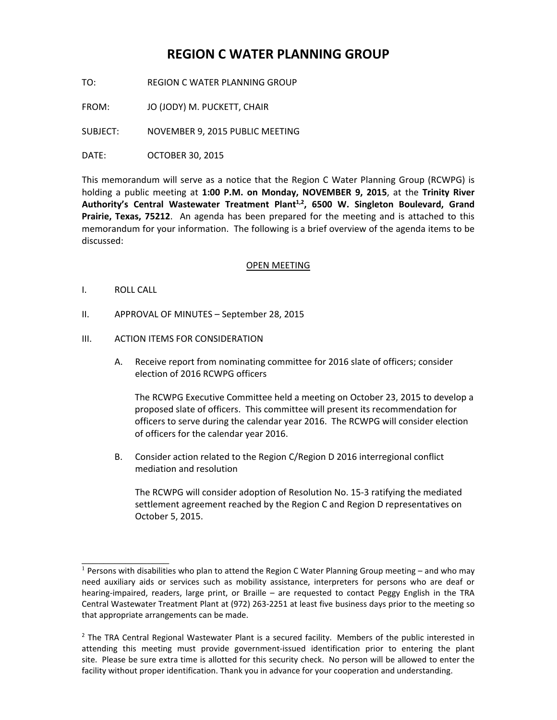# **REGION C WATER PLANNING GROUP**

TO: REGION C WATER PLANNING GROUP

FROM: JO (JODY) M. PUCKETT, CHAIR

SUBJECT: NOVEMBER 9, 2015 PUBLIC MEETING

DATE: OCTOBER 30, 2015

This memorandum will serve as a notice that the Region C Water Planning Group (RCWPG) is holding a public meeting at **1:00 P.M. on Monday, NOVEMBER 9, 2015**, at the **Trinity River**  Authority's Central Wastewater Treatment Plant<sup>1,2</sup>, 6500 W. Singleton Boulevard, Grand **Prairie, Texas, 75212**. An agenda has been prepared for the meeting and is attached to this memorandum for your information. The following is a brief overview of the agenda items to be discussed:

## OPEN MEETING

I. ROLL CALL

\_\_\_\_\_\_\_\_\_\_\_\_\_\_\_\_

- II. APPROVAL OF MINUTES September 28, 2015
- III. ACTION ITEMS FOR CONSIDERATION
	- A. Receive report from nominating committee for 2016 slate of officers; consider election of 2016 RCWPG officers

The RCWPG Executive Committee held a meeting on October 23, 2015 to develop a proposed slate of officers. This committee will present its recommendation for officers to serve during the calendar year 2016. The RCWPG will consider election of officers for the calendar year 2016.

B. Consider action related to the Region C/Region D 2016 interregional conflict mediation and resolution

The RCWPG will consider adoption of Resolution No. 15-3 ratifying the mediated settlement agreement reached by the Region C and Region D representatives on October 5, 2015.

 $1$  Persons with disabilities who plan to attend the Region C Water Planning Group meeting – and who may need auxiliary aids or services such as mobility assistance, interpreters for persons who are deaf or hearing-impaired, readers, large print, or Braille – are requested to contact Peggy English in the TRA Central Wastewater Treatment Plant at (972) 263-2251 at least five business days prior to the meeting so that appropriate arrangements can be made.

<sup>&</sup>lt;sup>2</sup> The TRA Central Regional Wastewater Plant is a secured facility. Members of the public interested in attending this meeting must provide government-issued identification prior to entering the plant site. Please be sure extra time is allotted for this security check. No person will be allowed to enter the facility without proper identification. Thank you in advance for your cooperation and understanding.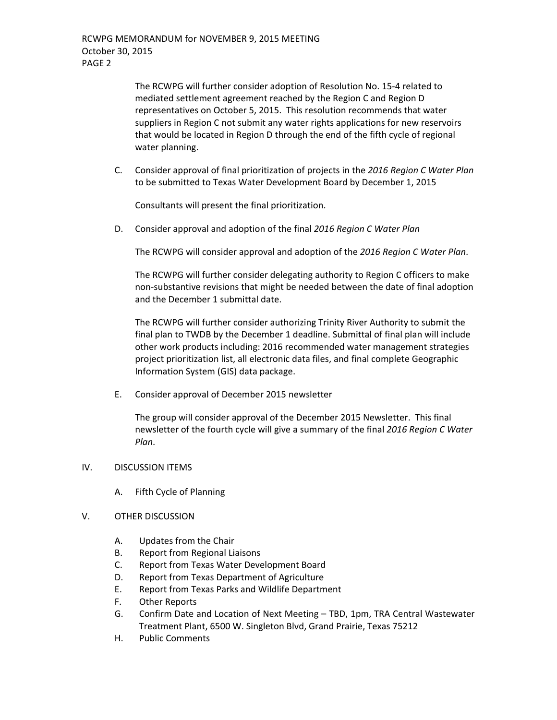The RCWPG will further consider adoption of Resolution No. 15-4 related to mediated settlement agreement reached by the Region C and Region D representatives on October 5, 2015. This resolution recommends that water suppliers in Region C not submit any water rights applications for new reservoirs that would be located in Region D through the end of the fifth cycle of regional water planning.

C. Consider approval of final prioritization of projects in the *2016 Region C Water Plan* to be submitted to Texas Water Development Board by December 1, 2015

Consultants will present the final prioritization.

D. Consider approval and adoption of the final *2016 Region C Water Plan*

The RCWPG will consider approval and adoption of the *2016 Region C Water Plan*.

The RCWPG will further consider delegating authority to Region C officers to make non-substantive revisions that might be needed between the date of final adoption and the December 1 submittal date.

The RCWPG will further consider authorizing Trinity River Authority to submit the final plan to TWDB by the December 1 deadline. Submittal of final plan will include other work products including: 2016 recommended water management strategies project prioritization list, all electronic data files, and final complete Geographic Information System (GIS) data package.

E. Consider approval of December 2015 newsletter

The group will consider approval of the December 2015 Newsletter. This final newsletter of the fourth cycle will give a summary of the final *2016 Region C Water Plan*.

## IV. DISCUSSION ITEMS

A. Fifth Cycle of Planning

## V. OTHER DISCUSSION

- A. Updates from the Chair
- B. Report from Regional Liaisons
- C. Report from Texas Water Development Board
- D. Report from Texas Department of Agriculture
- E. Report from Texas Parks and Wildlife Department
- F. Other Reports
- G. Confirm Date and Location of Next Meeting TBD, 1pm, TRA Central Wastewater Treatment Plant, 6500 W. Singleton Blvd, Grand Prairie, Texas 75212
- H. Public Comments